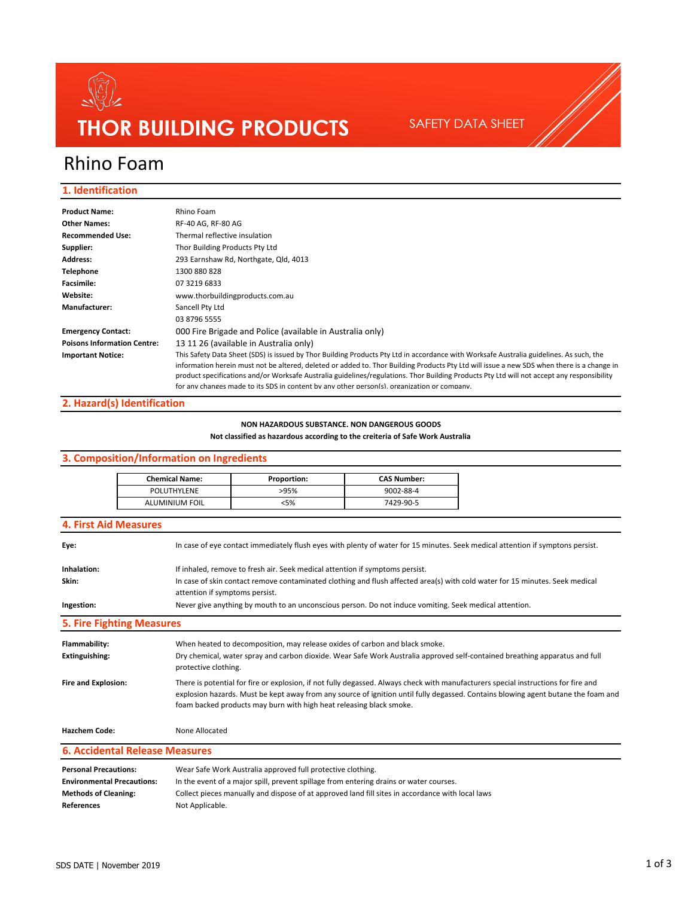

SAFETY DATA SHEET

# Rhino Foam

#### **1. Identification**

| <b>Product Name:</b>               | Rhino Foam                                                                                                                                                                                                                                                                                                                                                                                                                                                                                                                       |  |  |
|------------------------------------|----------------------------------------------------------------------------------------------------------------------------------------------------------------------------------------------------------------------------------------------------------------------------------------------------------------------------------------------------------------------------------------------------------------------------------------------------------------------------------------------------------------------------------|--|--|
| <b>Other Names:</b>                | RF-40 AG, RF-80 AG                                                                                                                                                                                                                                                                                                                                                                                                                                                                                                               |  |  |
| <b>Recommended Use:</b>            | Thermal reflective insulation                                                                                                                                                                                                                                                                                                                                                                                                                                                                                                    |  |  |
| Supplier:                          | Thor Building Products Pty Ltd                                                                                                                                                                                                                                                                                                                                                                                                                                                                                                   |  |  |
| <b>Address:</b>                    | 293 Earnshaw Rd, Northgate, Qld, 4013                                                                                                                                                                                                                                                                                                                                                                                                                                                                                            |  |  |
| <b>Telephone</b>                   | 1300 880 828                                                                                                                                                                                                                                                                                                                                                                                                                                                                                                                     |  |  |
| <b>Facsimile:</b>                  | 07 3219 6833                                                                                                                                                                                                                                                                                                                                                                                                                                                                                                                     |  |  |
| Website:                           | www.thorbuildingproducts.com.au                                                                                                                                                                                                                                                                                                                                                                                                                                                                                                  |  |  |
| Manufacturer:                      | Sancell Pty Ltd                                                                                                                                                                                                                                                                                                                                                                                                                                                                                                                  |  |  |
|                                    | 03 8796 5555                                                                                                                                                                                                                                                                                                                                                                                                                                                                                                                     |  |  |
| <b>Emergency Contact:</b>          | 000 Fire Brigade and Police (available in Australia only)                                                                                                                                                                                                                                                                                                                                                                                                                                                                        |  |  |
| <b>Poisons Information Centre:</b> | 13 11 26 (available in Australia only)                                                                                                                                                                                                                                                                                                                                                                                                                                                                                           |  |  |
| <b>Important Notice:</b>           | This Safety Data Sheet (SDS) is issued by Thor Building Products Pty Ltd in accordance with Worksafe Australia guidelines. As such, the<br>information herein must not be altered, deleted or added to. Thor Building Products Pty Ltd will issue a new SDS when there is a change in<br>product specifications and/or Worksafe Australia guidelines/regulations. Thor Building Products Pty Ltd will not accept any responsibility<br>for any changes made to its SDS in content by any other person(s) organization or company |  |  |

#### **2. Hazard(s) Identification**

#### **NON HAZARDOUS SUBSTANCE. NON DANGEROUS GOODS**

**Not classified as hazardous according to the creiteria of Safe Work Australia**

## **References** Not Applicable. **Personal Precautions:** Wear Safe Work Australia approved full protective clothing. **Environmental Precautions:** In the event of a major spill, prevent spillage from entering drains or water courses. **Methods of Cleaning:** Collect pieces manually and dispose of at approved land fill sites in accordance with local laws **Fire and Explosion:** There is potential for fire or explosion, if not fully degassed. Always check with manufacturers special instructions for fire and explosion hazards. Must be kept away from any source of ignition until fully degassed. Contains blowing agent butane the foam and foam backed products may burn with high heat releasing black smoke. Hazchem Code: None Allocated **6. Accidental Release Measures Ingestion:** Never give anything by mouth to an unconscious person. Do not induce vomiting. Seek medical attention. **5. Fire Fighting Measures Flammability:** When heated to decomposition, may release oxides of carbon and black smoke. **Extinguishing:** Dry chemical, water spray and carbon dioxide. Wear Safe Work Australia approved self-contained breathing apparatus and full protective clothing. **4. First Aid Measures Eye:** In case of eye contact immediately flush eyes with plenty of water for 15 minutes. Seek medical attention if symptons persist. **Inhalation:** If inhaled, remove to fresh air. Seek medical attention if symptoms persist. **Skin:** In case of skin contact remove contaminated clothing and flush affected area(s) with cold water for 15 minutes. Seek medical attention if symptoms persist. POLUTHYLENE >95% 9002-88-4 ALUMINIUM FOIL <5% 7429-90-5 **3. Composition/Information on Ingredients** Chemical Name: Proportion: CAS Number: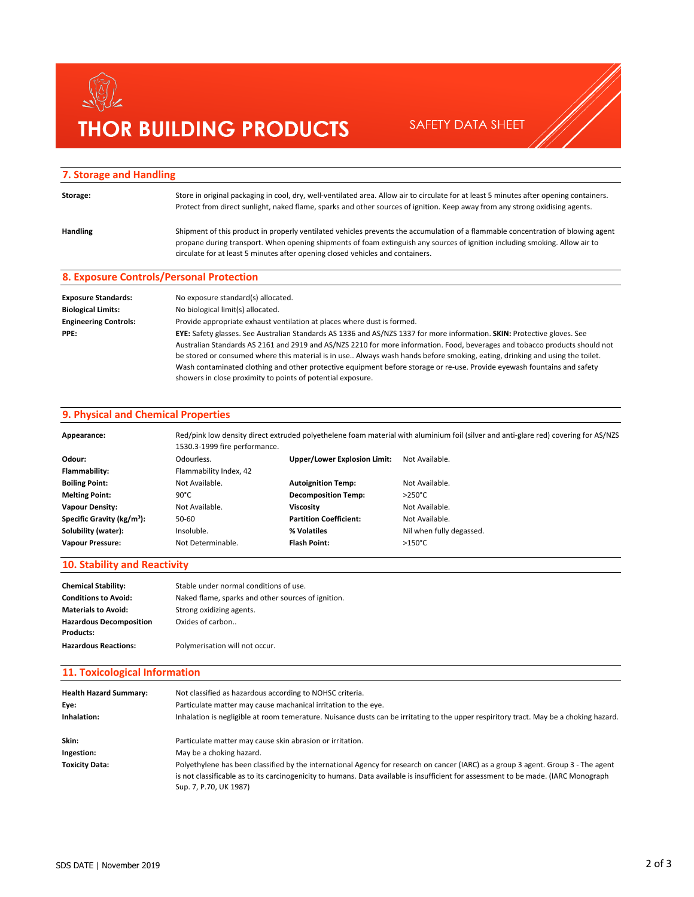# $\begin{matrix}\n\begin{pmatrix}\n\sqrt{2} \\
\sqrt{2}\n\end{pmatrix}\n\end{matrix}$ **THOR BUILDING PRODUCTS** SAFETY DATA SHEET

#### **7. Storage and Handling**

| Storage:                   | Store in original packaging in cool, dry, well-ventilated area. Allow air to circulate for at least 5 minutes after opening containers.<br>Protect from direct sunlight, naked flame, sparks and other sources of ignition. Keep away from any strong oxidising agents.                                                                           |
|----------------------------|---------------------------------------------------------------------------------------------------------------------------------------------------------------------------------------------------------------------------------------------------------------------------------------------------------------------------------------------------|
| Handling                   | Shipment of this product in properly ventilated vehicles prevents the accumulation of a flammable concentration of blowing agent<br>propane during transport. When opening shipments of foam extinguish any sources of ignition including smoking. Allow air to<br>circulate for at least 5 minutes after opening closed vehicles and containers. |
|                            | 8. Exposure Controls/Personal Protection                                                                                                                                                                                                                                                                                                          |
| <b>Exposure Standards:</b> | No exposure standard(s) allocated                                                                                                                                                                                                                                                                                                                 |

| Exposure Standards:          | No exposure standard(s) allocated.                                                                                           |  |  |
|------------------------------|------------------------------------------------------------------------------------------------------------------------------|--|--|
| <b>Biological Limits:</b>    | No biological limit(s) allocated.                                                                                            |  |  |
| <b>Engineering Controls:</b> | Provide appropriate exhaust ventilation at places where dust is formed.                                                      |  |  |
| PPE:                         | EYE: Safety glasses. See Australian Standards AS 1336 and AS/NZS 1337 for more information. SKIN: Protective gloves. See     |  |  |
|                              | Australian Standards AS 2161 and 2919 and AS/NZS 2210 for more information. Food, beverages and tobacco products should not  |  |  |
|                              | be stored or consumed where this material is in use Always wash hands before smoking, eating, drinking and using the toilet. |  |  |
|                              | Wash contaminated clothing and other protective equipment before storage or re-use. Provide eyewash fountains and safety     |  |  |
|                              | showers in close proximity to points of potential exposure.                                                                  |  |  |
|                              |                                                                                                                              |  |  |

#### **9. Physical and Chemical Properties**

| Appearance:                            | 1530.3-1999 fire performance. |                               | Red/pink low density direct extruded polyethelene foam material with aluminium foil (silver and anti-glare red) covering for AS/NZS |
|----------------------------------------|-------------------------------|-------------------------------|-------------------------------------------------------------------------------------------------------------------------------------|
| Odour:                                 | Odourless.                    | Upper/Lower Explosion Limit:  | Not Available.                                                                                                                      |
| Flammability:                          | Flammability Index, 42        |                               |                                                                                                                                     |
| <b>Boiling Point:</b>                  | Not Available.                | <b>Autoignition Temp:</b>     | Not Available.                                                                                                                      |
| <b>Melting Point:</b>                  | $90^{\circ}$ C                | <b>Decomposition Temp:</b>    | $>250^{\circ}$ C                                                                                                                    |
| <b>Vapour Density:</b>                 | Not Available.                | Viscositv                     | Not Available.                                                                                                                      |
| Specific Gravity (kg/m <sup>3</sup> ): | 50-60                         | <b>Partition Coefficient:</b> | Not Available.                                                                                                                      |
| Solubility (water):                    | Insoluble.                    | % Volatiles                   | Nil when fully degassed.                                                                                                            |
| <b>Vapour Pressure:</b>                | Not Determinable.             | Flash Point:                  | $>150^{\circ}$ C                                                                                                                    |

#### **10. Stability and Reactivity**

| <b>Chemical Stability:</b>     | Stable under normal conditions of use.             |
|--------------------------------|----------------------------------------------------|
| <b>Conditions to Avoid:</b>    | Naked flame, sparks and other sources of ignition. |
| <b>Materials to Avoid:</b>     | Strong oxidizing agents.                           |
| <b>Hazardous Decomposition</b> | Oxides of carbon                                   |
| <b>Products:</b>               |                                                    |
| <b>Hazardous Reactions:</b>    | Polymerisation will not occur.                     |

#### **11. Toxicological Information**

| <b>Health Hazard Summary:</b><br>Eve:<br>Inhalation: | Not classified as hazardous according to NOHSC criteria.<br>Particulate matter may cause machanical irritation to the eye.<br>Inhalation is negligible at room temerature. Nuisance dusts can be irritating to the upper respiritory tract. May be a choking hazard.                                |
|------------------------------------------------------|-----------------------------------------------------------------------------------------------------------------------------------------------------------------------------------------------------------------------------------------------------------------------------------------------------|
| Skin:                                                | Particulate matter may cause skin abrasion or irritation.                                                                                                                                                                                                                                           |
| Ingestion:                                           | May be a choking hazard.                                                                                                                                                                                                                                                                            |
| <b>Toxicity Data:</b>                                | Polyethylene has been classified by the international Agency for research on cancer (IARC) as a group 3 agent. Group 3 - The agent<br>is not classificable as to its carcinogenicity to humans. Data available is insufficient for assessment to be made. (IARC Monograph<br>Sup. 7, P.70, UK 1987) |